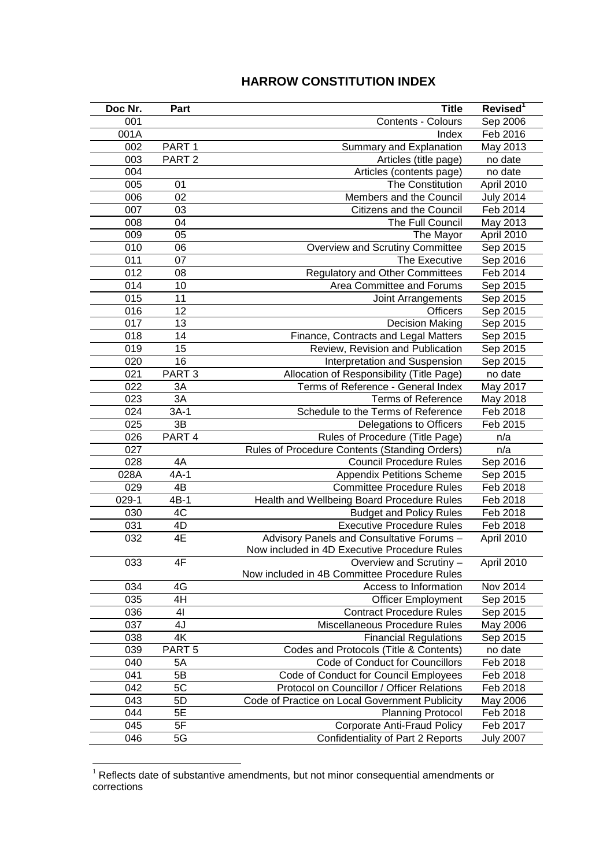## **HARROW CONSTITUTION INDEX**

| Doc Nr. | Part              | <b>Title</b>                                   | Revised <sup>1</sup> |
|---------|-------------------|------------------------------------------------|----------------------|
| 001     |                   | Contents - Colours                             | Sep 2006             |
| 001A    |                   | Index                                          | Feb 2016             |
| 002     | PART <sub>1</sub> | Summary and Explanation                        | May 2013             |
| 003     | PART <sub>2</sub> | Articles (title page)                          | no date              |
| 004     |                   | Articles (contents page)                       | no date              |
| 005     | 01                | The Constitution                               | April 2010           |
| 006     | 02                | Members and the Council                        | <b>July 2014</b>     |
| 007     | 03                | Citizens and the Council                       | Feb 2014             |
| 008     | 04                | The Full Council                               | May 2013             |
| 009     | 05                | The Mayor                                      | April 2010           |
| 010     | 06                | Overview and Scrutiny Committee                | Sep 2015             |
| 011     | 07                | The Executive                                  | Sep 2016             |
| 012     | 08                | <b>Regulatory and Other Committees</b>         | Feb 2014             |
| 014     | 10                | Area Committee and Forums                      | Sep 2015             |
| 015     | 11                | Joint Arrangements                             | Sep 2015             |
| 016     | 12                | <b>Officers</b>                                | Sep 2015             |
| 017     | 13                | <b>Decision Making</b>                         | Sep 2015             |
| 018     | 14                | Finance, Contracts and Legal Matters           | Sep 2015             |
| 019     | 15                | Review, Revision and Publication               | Sep 2015             |
| 020     | 16                | Interpretation and Suspension                  | Sep 2015             |
| 021     | PART <sub>3</sub> | Allocation of Responsibility (Title Page)      | no date              |
| 022     | 3A                | Terms of Reference - General Index             | May 2017             |
| 023     | 3A                | <b>Terms of Reference</b>                      | May 2018             |
| 024     | $3A-1$            | Schedule to the Terms of Reference             | Feb 2018             |
| 025     | 3B                | Delegations to Officers                        | Feb 2015             |
| 026     | PART 4            | Rules of Procedure (Title Page)                | n/a                  |
| 027     |                   | Rules of Procedure Contents (Standing Orders)  | n/a                  |
| 028     | 4A                | <b>Council Procedure Rules</b>                 | Sep 2016             |
| 028A    | $4A-1$            | <b>Appendix Petitions Scheme</b>               | Sep 2015             |
| 029     | $4\overline{B}$   | <b>Committee Procedure Rules</b>               | Feb 2018             |
| $029-1$ | $4B-1$            | Health and Wellbeing Board Procedure Rules     | Feb 2018             |
| 030     | 4C                | <b>Budget and Policy Rules</b>                 | Feb 2018             |
| 031     | 4D                | <b>Executive Procedure Rules</b>               | Feb 2018             |
| 032     | 4E                | Advisory Panels and Consultative Forums -      | April 2010           |
|         |                   | Now included in 4D Executive Procedure Rules   |                      |
| 033     | 4F                | Overview and Scrutiny -                        | April 2010           |
|         |                   | Now included in 4B Committee Procedure Rules   |                      |
| 034     | 4G                | Access to Information                          | Nov 2014             |
| 035     | 4H                | <b>Officer Employment</b>                      | Sep 2015             |
| 036     | 41                | <b>Contract Procedure Rules</b>                | Sep 2015             |
| 037     | 4J                | Miscellaneous Procedure Rules                  | May 2006             |
| 038     | 4K                | <b>Financial Regulations</b>                   | Sep 2015             |
| 039     | PART <sub>5</sub> | Codes and Protocols (Title & Contents)         | no date              |
| 040     | 5A                | Code of Conduct for Councillors                | Feb 2018             |
| 041     | 5B                | Code of Conduct for Council Employees          | Feb 2018             |
| 042     | 5C                | Protocol on Councillor / Officer Relations     | Feb 2018             |
| 043     | 5D                | Code of Practice on Local Government Publicity | May 2006             |
| 044     | 5E                | <b>Planning Protocol</b>                       | Feb 2018             |
| 045     | 5F                | <b>Corporate Anti-Fraud Policy</b>             | Feb 2017             |
| 046     | 5G                | Confidentiality of Part 2 Reports              | <b>July 2007</b>     |

 Reflects date of substantive amendments, but not minor consequential amendments or corrections

<u>.</u>